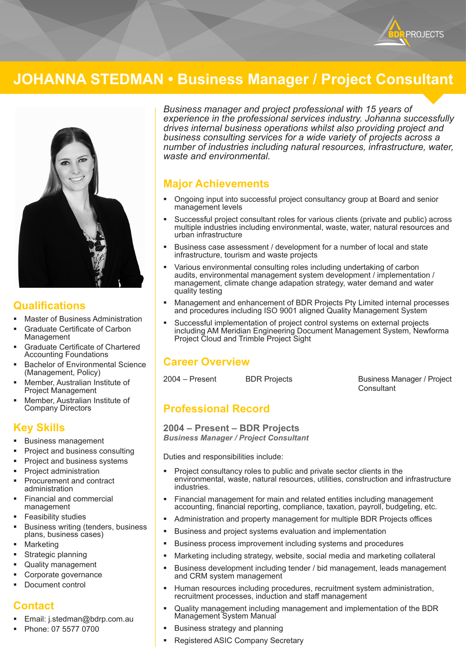

# **JOHANNA STEDMAN • Business Manager / Project Consultant**



#### **Qualifications**

- Master of Business Administration
- Graduate Certificate of Carbon Management
- Graduate Certificate of Chartered Accounting Foundations
- Bachelor of Environmental Science (Management, Policy)
- Member, Australian Institute of Project Management
- Member, Australian Institute of Company Directors

# **Key Skills**

- Business management
- Project and business consulting
- Project and business systems
- Project administration
- Procurement and contract administration
- Financial and commercial management
- Feasibility studies
- Business writing (tenders, business plans, business cases)
- Marketing
- Strategic planning
- Quality management
- Corporate governance
- Document control

### **Contact**

- Email: j.stedman@bdrp.com.au
- Phone: 07 5577 0700

*Business manager and project professional with 15 years of experience in the professional services industry. Johanna successfully drives internal business operations whilst also providing project and business consulting services for a wide variety of projects across a number of industries including natural resources, infrastructure, water, waste and environmental.*

### **Major Achievements**

- Ongoing input into successful project consultancy group at Board and senior management levels
- Successful project consultant roles for various clients (private and public) across multiple industries including environmental, waste, water, natural resources and urban infrastructure
- Business case assessment / development for a number of local and state infrastructure, tourism and waste projects
- Various environmental consulting roles including undertaking of carbon audits, environmental management system development / implementation / management, climate change adapation strategy, water demand and water quality testing
- Management and enhancement of BDR Projects Pty Limited internal processes and procedures including ISO 9001 aligned Quality Management System
- Successful implementation of project control systems on external projects including AM Meridian Engineering Document Management System, Newforma Project Cloud and Trimble Project Sight

### **Career Overview**

2004 – Present BDR Projects Business Manager / Project **Consultant** 

# **Professional Record**

**2004 – Present – BDR Projects** *Business Manager / Project Consultant*

Duties and responsibilities include:

- Project consultancy roles to public and private sector clients in the environmental, waste, natural resources, utilities, construction and infrastructure industries.
- Financial management for main and related entities including management accounting, financial reporting, compliance, taxation, payroll, budgeting, etc.
- Administration and property management for multiple BDR Projects offices
- Business and project systems evaluation and implementation
- Business process improvement including systems and procedures
- Marketing including strategy, website, social media and marketing collateral
- Business development including tender / bid management, leads management and CRM system management
- Human resources including procedures, recruitment system administration, recruitment processes, induction and staff management
- Quality management including management and implementation of the BDR Management System Manual
- Business strategy and planning
- Registered ASIC Company Secretary